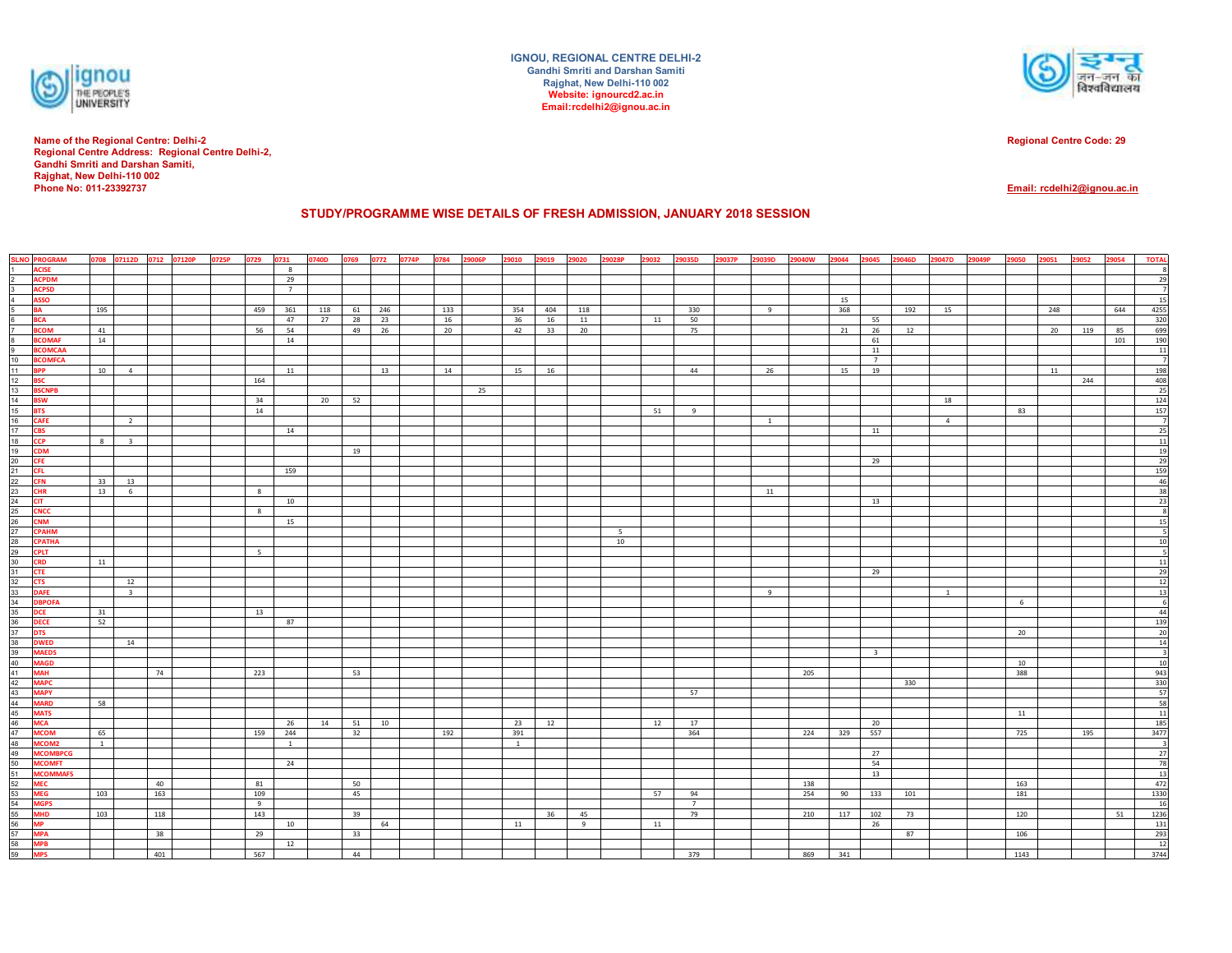

**Name of the Regional Centre: Delhi-2 Regional Centre Address: Regional Centre Delhi-2, Gandhi Smriti and Darshan Samiti, Rajghat, New Delhi-110 002Phone No: 011-23392737**

**IGNOU, REGIONAL CENTRE DELHI-2Gandhi Smriti and Darshan SamitiRajghat, New Delhi-110 002 Website: ignourcd2.ac.inEmail:rcdelhi2@ignou.ac.in**



**Regional Centre Code: 29**

**Email: rcdelhi2@ignou.ac.in**

## **STUDY/PROGRAMME WISE DETAILS OF FRESH ADMISSION, JANUARY 2018 SESSION**

|                | <b>SLNO PROGRAM</b>          |                |                         | 0708 07112D 0712 07120P | 0725P | 0729     | 0731        | 0740D | 0769 | 0772 | 0774P | 0784<br>29006P | 29010        | 29019 | 29020<br>29028P | 29032 | 29035D<br>29037P | 29039D         | 29040W     | 29044 | 29045                   | 29046D | 29047D         | 29049P | 9050       | 29051 | 29052 | 29054 | <b>TOTAL</b>                                                                                                                                                                 |
|----------------|------------------------------|----------------|-------------------------|-------------------------|-------|----------|-------------|-------|------|------|-------|----------------|--------------|-------|-----------------|-------|------------------|----------------|------------|-------|-------------------------|--------|----------------|--------|------------|-------|-------|-------|------------------------------------------------------------------------------------------------------------------------------------------------------------------------------|
|                | <b>ACISE</b>                 |                |                         |                         |       |          | 8           |       |      |      |       |                |              |       |                 |       |                  |                |            |       |                         |        |                |        |            |       |       |       |                                                                                                                                                                              |
|                | <b>ACPDM</b>                 |                |                         |                         |       |          | 29          |       |      |      |       |                |              |       |                 |       |                  |                |            |       |                         |        |                |        |            |       |       |       | 29                                                                                                                                                                           |
| $\frac{2}{3}$  | <b>ACPSD</b>                 |                |                         |                         |       |          | $7^{\circ}$ |       |      |      |       |                |              |       |                 |       |                  |                |            |       |                         |        |                |        |            |       |       |       | $\overline{\phantom{a}}$                                                                                                                                                     |
| $\overline{4}$ | <b>ASSO</b>                  |                |                         |                         |       |          |             |       |      |      |       |                |              |       |                 |       |                  |                |            | 15    |                         |        |                |        |            |       |       |       | 15                                                                                                                                                                           |
|                | <b>BA</b>                    | 195            |                         |                         |       | 459      | 361         | 118   | 61   | 246  |       | 133            | 354          | 404   | 118             |       | 330              | 9              |            | 368   |                         | 192    | 15             |        |            | 248   |       | 644   | $\begin{array}{r cc} 4255 & 320 \\ \hline 320 & 699 \\ \hline & 190 & 11 \\ \hline & 7 & 198 \\ \hline & 408 & 25 \\ \hline & 124 & 157 \\ \hline & 7 \\ \hline \end{array}$ |
|                | <b>BCA</b>                   |                |                         |                         |       |          | 47          | 27    | 28   | 23   |       | 16             | 36           | 16    | 11              | 11    | 50               |                |            |       | 55                      |        |                |        |            |       |       |       |                                                                                                                                                                              |
|                | <b>BCOM</b>                  | 41             |                         |                         |       | 56       | 54          |       | 49   | 26   |       | $20\degree$    | 42           | 33    | 20              |       | 75               |                |            | 21    | 26                      | 12     |                |        |            | 20    | 119   | 85    |                                                                                                                                                                              |
|                | <b>BCOMAF</b>                | 14             |                         |                         |       |          | 14          |       |      |      |       |                |              |       |                 |       |                  |                |            |       | 61                      |        |                |        |            |       |       | 101   |                                                                                                                                                                              |
|                | <b>BCOMCAA</b>               |                |                         |                         |       |          |             |       |      |      |       |                |              |       |                 |       |                  |                |            |       | 11                      |        |                |        |            |       |       |       |                                                                                                                                                                              |
|                | <b>BCOMFCA</b><br><b>BPP</b> | 10             | $\overline{4}$          |                         |       |          | 11          |       |      | 13   |       | 14             | 15           | 16    |                 |       | 44               | 26             |            | 15    | $7^{\circ}$<br>19       |        |                |        |            | 11    |       |       |                                                                                                                                                                              |
|                | <b>BSC</b>                   |                |                         |                         |       | 164      |             |       |      |      |       |                |              |       |                 |       |                  |                |            |       |                         |        |                |        |            |       | 244   |       |                                                                                                                                                                              |
|                | <b>BSCNPB</b>                |                |                         |                         |       |          |             |       |      |      |       | 25             |              |       |                 |       |                  |                |            |       |                         |        |                |        |            |       |       |       |                                                                                                                                                                              |
|                | <b>BSW</b>                   |                |                         |                         |       | 34       |             | 20    | 52   |      |       |                |              |       |                 |       |                  |                |            |       |                         |        | 18             |        |            |       |       |       |                                                                                                                                                                              |
|                | <b>BTS</b>                   |                |                         |                         |       | 14       |             |       |      |      |       |                |              |       |                 | 51    | 9                |                |            |       |                         |        |                |        | 83         |       |       |       |                                                                                                                                                                              |
|                | <b>CAFE</b>                  |                | $\overline{2}$          |                         |       |          |             |       |      |      |       |                |              |       |                 |       |                  | $\overline{1}$ |            |       |                         |        | $\overline{4}$ |        |            |       |       |       |                                                                                                                                                                              |
|                | <b>CBS</b>                   |                |                         |                         |       |          | 14          |       |      |      |       |                |              |       |                 |       |                  |                |            |       | 11                      |        |                |        |            |       |       |       |                                                                                                                                                                              |
|                | <b>CCP</b>                   | 8 <sup>1</sup> | $\overline{\mathbf{3}}$ |                         |       |          |             |       |      |      |       |                |              |       |                 |       |                  |                |            |       |                         |        |                |        |            |       |       |       |                                                                                                                                                                              |
|                | <b>CDM</b>                   |                |                         |                         |       |          |             |       | 19   |      |       |                |              |       |                 |       |                  |                |            |       |                         |        |                |        |            |       |       |       |                                                                                                                                                                              |
|                | CFE                          |                |                         |                         |       |          |             |       |      |      |       |                |              |       |                 |       |                  |                |            |       | 29                      |        |                |        |            |       |       |       |                                                                                                                                                                              |
|                | <b>CFL</b>                   |                |                         |                         |       |          | 159         |       |      |      |       |                |              |       |                 |       |                  |                |            |       |                         |        |                |        |            |       |       |       |                                                                                                                                                                              |
|                | <b>CFN</b>                   | 33             | 13                      |                         |       |          |             |       |      |      |       |                |              |       |                 |       |                  |                |            |       |                         |        |                |        |            |       |       |       |                                                                                                                                                                              |
|                | <b>CHR</b>                   | 13             | 6                       |                         |       | 8        |             |       |      |      |       |                |              |       |                 |       |                  | 11             |            |       |                         |        |                |        |            |       |       |       | $\begin{array}{r} 25 \\ \hline 11 \\ \hline 19 \\ \hline 29 \\ \hline 159 \\ \hline 46 \\ \hline 38 \\ \hline 23 \\ \end{array}$                                             |
|                | <b>CIT</b>                   |                |                         |                         |       |          | 10          |       |      |      |       |                |              |       |                 |       |                  |                |            |       | 13                      |        |                |        |            |       |       |       |                                                                                                                                                                              |
|                | <b>CNCC</b>                  |                |                         |                         |       | 8        |             |       |      |      |       |                |              |       |                 |       |                  |                |            |       |                         |        |                |        |            |       |       |       | $^{\circ}$                                                                                                                                                                   |
|                | <b>CNM</b>                   |                |                         |                         |       |          | 15          |       |      |      |       |                |              |       |                 |       |                  |                |            |       |                         |        |                |        |            |       |       |       | 15                                                                                                                                                                           |
|                | <b>CPAHM</b>                 |                |                         |                         |       |          |             |       |      |      |       |                |              |       | 5               |       |                  |                |            |       |                         |        |                |        |            |       |       |       | $\overline{\phantom{a}}$                                                                                                                                                     |
|                | <b>CPATHA</b>                |                |                         |                         |       |          |             |       |      |      |       |                |              |       | 10              |       |                  |                |            |       |                         |        |                |        |            |       |       |       | $\frac{10}{5}$                                                                                                                                                               |
|                | <b>CPLT</b>                  |                |                         |                         |       | $5 -$    |             |       |      |      |       |                |              |       |                 |       |                  |                |            |       |                         |        |                |        |            |       |       |       |                                                                                                                                                                              |
|                | <b>CRD</b>                   | 11             |                         |                         |       |          |             |       |      |      |       |                |              |       |                 |       |                  |                |            |       |                         |        |                |        |            |       |       |       |                                                                                                                                                                              |
|                | <b>CTE</b><br><b>CTS</b>     |                | 12                      |                         |       |          |             |       |      |      |       |                |              |       |                 |       |                  |                |            |       | 29                      |        |                |        |            |       |       |       |                                                                                                                                                                              |
|                | <b>DAFE</b>                  |                | $\overline{\mathbf{3}}$ |                         |       |          |             |       |      |      |       |                |              |       |                 |       |                  |                |            |       |                         |        |                |        |            |       |       |       |                                                                                                                                                                              |
|                | <b>DBPOFA</b>                |                |                         |                         |       |          |             |       |      |      |       |                |              |       |                 |       |                  | 9              |            |       |                         |        | $\mathbf{1}$   |        | 6          |       |       |       |                                                                                                                                                                              |
|                | <b>DCE</b>                   | 31             |                         |                         |       | 13       |             |       |      |      |       |                |              |       |                 |       |                  |                |            |       |                         |        |                |        |            |       |       |       |                                                                                                                                                                              |
|                | <b>DECE</b>                  | 52             |                         |                         |       |          | 87          |       |      |      |       |                |              |       |                 |       |                  |                |            |       |                         |        |                |        |            |       |       |       |                                                                                                                                                                              |
|                | <b>DTS</b>                   |                |                         |                         |       |          |             |       |      |      |       |                |              |       |                 |       |                  |                |            |       |                         |        |                |        | 20         |       |       |       | $\begin{array}{r} 11 \\ 29 \\ 12 \\ 13 \\ 6 \\ 44 \\ 139 \\ 20 \\ 14 \\ \hline \end{array}$                                                                                  |
|                | <b>DWED</b>                  |                | 14                      |                         |       |          |             |       |      |      |       |                |              |       |                 |       |                  |                |            |       |                         |        |                |        |            |       |       |       |                                                                                                                                                                              |
|                | <b>MAEDS</b>                 |                |                         |                         |       |          |             |       |      |      |       |                |              |       |                 |       |                  |                |            |       | $\overline{\mathbf{3}}$ |        |                |        |            |       |       |       |                                                                                                                                                                              |
|                | <b>MAGD</b>                  |                |                         |                         |       |          |             |       |      |      |       |                |              |       |                 |       |                  |                |            |       |                         |        |                |        | 10         |       |       |       |                                                                                                                                                                              |
|                | <b>MAH</b>                   |                |                         | 74                      |       | 223      |             |       | 53   |      |       |                |              |       |                 |       |                  |                | 205        |       |                         |        |                |        | 388        |       |       |       |                                                                                                                                                                              |
|                | <b>MAPC</b>                  |                |                         |                         |       |          |             |       |      |      |       |                |              |       |                 |       |                  |                |            |       |                         | 330    |                |        |            |       |       |       | $\begin{array}{r} 10 \\ 943 \\ 330 \\ 57 \\ 58 \\ 11 \end{array}$                                                                                                            |
|                | <b>MAPY</b>                  |                |                         |                         |       |          |             |       |      |      |       |                |              |       |                 |       | 57               |                |            |       |                         |        |                |        |            |       |       |       |                                                                                                                                                                              |
|                | <b>MARD</b>                  | 58             |                         |                         |       |          |             |       |      |      |       |                |              |       |                 |       |                  |                |            |       |                         |        |                |        |            |       |       |       |                                                                                                                                                                              |
|                | <b>MATS</b>                  |                |                         |                         |       |          |             |       |      |      |       |                |              |       |                 |       |                  |                |            |       |                         |        |                |        | 11         |       |       |       |                                                                                                                                                                              |
|                | <b>MCA</b>                   |                |                         |                         |       |          | 26          | 14    | 51   | 10   |       |                | 23           | 12    |                 | 12    | 17               |                |            |       | 20                      |        |                |        |            |       |       |       | 185                                                                                                                                                                          |
|                | <b>MCOM</b>                  | 65             |                         |                         |       | 159      | 244         |       | 32   |      |       | 192            | 391          |       |                 |       | 364              |                | 224        | 329   | 557                     |        |                |        | 725        |       | 195   |       | 3477                                                                                                                                                                         |
|                | MCOM2                        | $\mathbf{1}$   |                         |                         |       |          | 1           |       |      |      |       |                | $\mathbf{1}$ |       |                 |       |                  |                |            |       |                         |        |                |        |            |       |       |       | $\begin{array}{r c} & 3 & 27 \\ \hline & 78 & 13 \\ \hline & 472 & 1330 \\ \hline & 16 & 1236 \\ \hline & 1236 & 131 \\ \hline & 293 & 12 \\ \hline & 3744 & \end{array}$    |
|                | <b>MCOMBPCG</b>              |                |                         |                         |       |          |             |       |      |      |       |                |              |       |                 |       |                  |                |            |       | 27                      |        |                |        |            |       |       |       |                                                                                                                                                                              |
|                | <b>MCOMFT</b>                |                |                         |                         |       |          | 24          |       |      |      |       |                |              |       |                 |       |                  |                |            |       | 54                      |        |                |        |            |       |       |       |                                                                                                                                                                              |
|                | <b>MCOMMAFS</b>              |                |                         |                         |       |          |             |       |      |      |       |                |              |       |                 |       |                  |                |            |       | 13                      |        |                |        |            |       |       |       |                                                                                                                                                                              |
|                | <b>MEC</b><br><b>MEG</b>     | 103            |                         | 40<br>163               |       | 81       |             |       | 50   |      |       |                |              |       |                 | 57    | 94               |                | 138<br>254 |       |                         |        |                |        | 163<br>181 |       |       |       |                                                                                                                                                                              |
|                | <b>MGPS</b>                  |                |                         |                         |       | 109<br>9 |             |       | 45   |      |       |                |              |       |                 |       | $7^{\circ}$      |                |            | 90    | 133                     | 101    |                |        |            |       |       |       |                                                                                                                                                                              |
|                | <b>MHD</b>                   | 103            |                         | 118                     |       | 143      |             |       | 39   |      |       |                |              | 36    | 45              |       | 79               |                | 210        | 117   | 102                     | 73     |                |        | 120        |       |       | 51    |                                                                                                                                                                              |
|                | <b>MP</b>                    |                |                         |                         |       |          | 10          |       |      | 64   |       |                | 11           |       | 9               | 11    |                  |                |            |       | 26                      |        |                |        |            |       |       |       |                                                                                                                                                                              |
|                | <b>MPA</b>                   |                |                         | 38                      |       | 29       |             |       | 33   |      |       |                |              |       |                 |       |                  |                |            |       |                         | 87     |                |        | 106        |       |       |       |                                                                                                                                                                              |
|                | <b>MPB</b>                   |                |                         |                         |       |          | 12          |       |      |      |       |                |              |       |                 |       |                  |                |            |       |                         |        |                |        |            |       |       |       |                                                                                                                                                                              |
|                | <b>MPS</b>                   |                |                         | 401                     |       | 567      |             |       | 44   |      |       |                |              |       |                 |       | 379              |                | 869        | 341   |                         |        |                |        | 1143       |       |       |       |                                                                                                                                                                              |
|                |                              |                |                         |                         |       |          |             |       |      |      |       |                |              |       |                 |       |                  |                |            |       |                         |        |                |        |            |       |       |       |                                                                                                                                                                              |